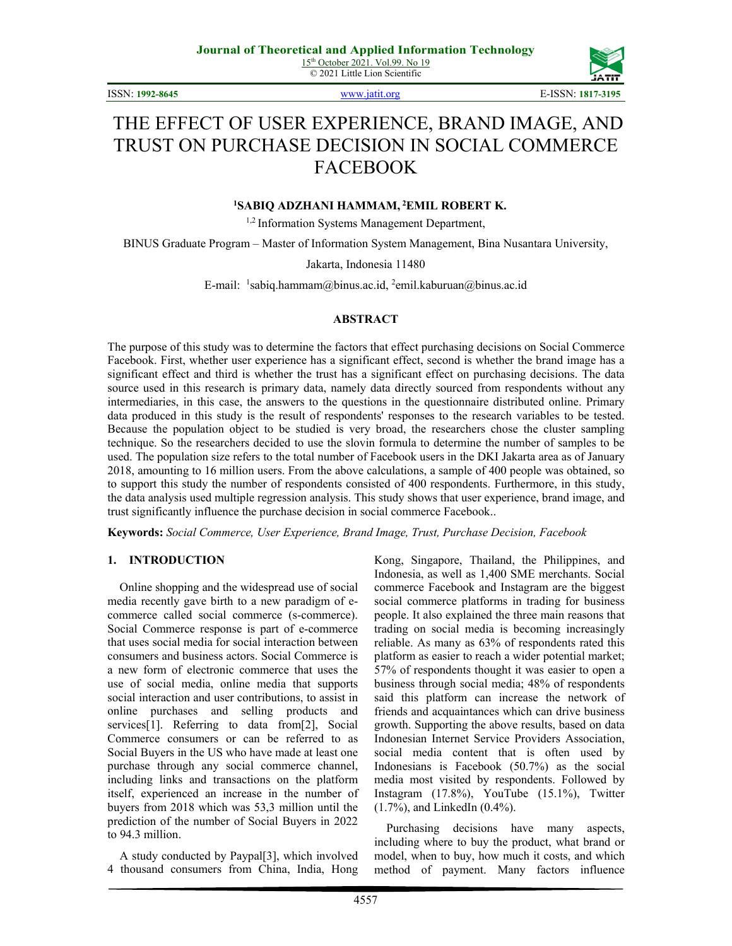

ISSN: **1992-8645** [www.jatit.org](http://www.jatit.org/) E-ISSN: **1817-3195**

# THE EFFECT OF USER EXPERIENCE, BRAND IMAGE, AND TRUST ON PURCHASE DECISION IN SOCIAL COMMERCE FACEBOOK

### **1 SABIQ ADZHANI HAMMAM, <sup>2</sup> EMIL ROBERT K.**

<sup>1,2</sup> Information Systems Management Department,

BINUS Graduate Program – Master of Information System Management, Bina Nusantara University,

Jakarta, Indonesia 11480

E-mail: <sup>1</sup>sabiq.hammam@binus.ac.id, <sup>2</sup>emil.kaburuan@binus.ac.id

#### **ABSTRACT**

The purpose of this study was to determine the factors that effect purchasing decisions on Social Commerce Facebook. First, whether user experience has a significant effect, second is whether the brand image has a significant effect and third is whether the trust has a significant effect on purchasing decisions. The data source used in this research is primary data, namely data directly sourced from respondents without any intermediaries, in this case, the answers to the questions in the questionnaire distributed online. Primary data produced in this study is the result of respondents' responses to the research variables to be tested. Because the population object to be studied is very broad, the researchers chose the cluster sampling technique. So the researchers decided to use the slovin formula to determine the number of samples to be used. The population size refers to the total number of Facebook users in the DKI Jakarta area as of January 2018, amounting to 16 million users. From the above calculations, a sample of 400 people was obtained, so to support this study the number of respondents consisted of 400 respondents. Furthermore, in this study, the data analysis used multiple regression analysis. This study shows that user experience, brand image, and trust significantly influence the purchase decision in social commerce Facebook..

**Keywords:** *Social Commerce, User Experience, Brand Image, Trust, Purchase Decision, Facebook*

#### **1. INTRODUCTION**

Online shopping and the widespread use of social media recently gave birth to a new paradigm of ecommerce called social commerce (s-commerce). Social Commerce response is part of e-commerce that uses social media for social interaction between consumers and business actors. Social Commerce is a new form of electronic commerce that uses the use of social media, online media that supports social interaction and user contributions, to assist in online purchases and selling products and services[1]. Referring to data from[2], Social Commerce consumers or can be referred to as Social Buyers in the US who have made at least one purchase through any social commerce channel, including links and transactions on the platform itself, experienced an increase in the number of buyers from 2018 which was 53,3 million until the prediction of the number of Social Buyers in 2022 to 94.3 million.

A study conducted by Paypal[3], which involved 4 thousand consumers from China, India, Hong Kong, Singapore, Thailand, the Philippines, and Indonesia, as well as 1,400 SME merchants. Social commerce Facebook and Instagram are the biggest social commerce platforms in trading for business people. It also explained the three main reasons that trading on social media is becoming increasingly reliable. As many as 63% of respondents rated this platform as easier to reach a wider potential market; 57% of respondents thought it was easier to open a business through social media; 48% of respondents said this platform can increase the network of friends and acquaintances which can drive business growth. Supporting the above results, based on data Indonesian Internet Service Providers Association, social media content that is often used by Indonesians is Facebook (50.7%) as the social media most visited by respondents. Followed by Instagram (17.8%), YouTube (15.1%), Twitter (1.7%), and LinkedIn (0.4%).

Purchasing decisions have many aspects, including where to buy the product, what brand or model, when to buy, how much it costs, and which method of payment. Many factors influence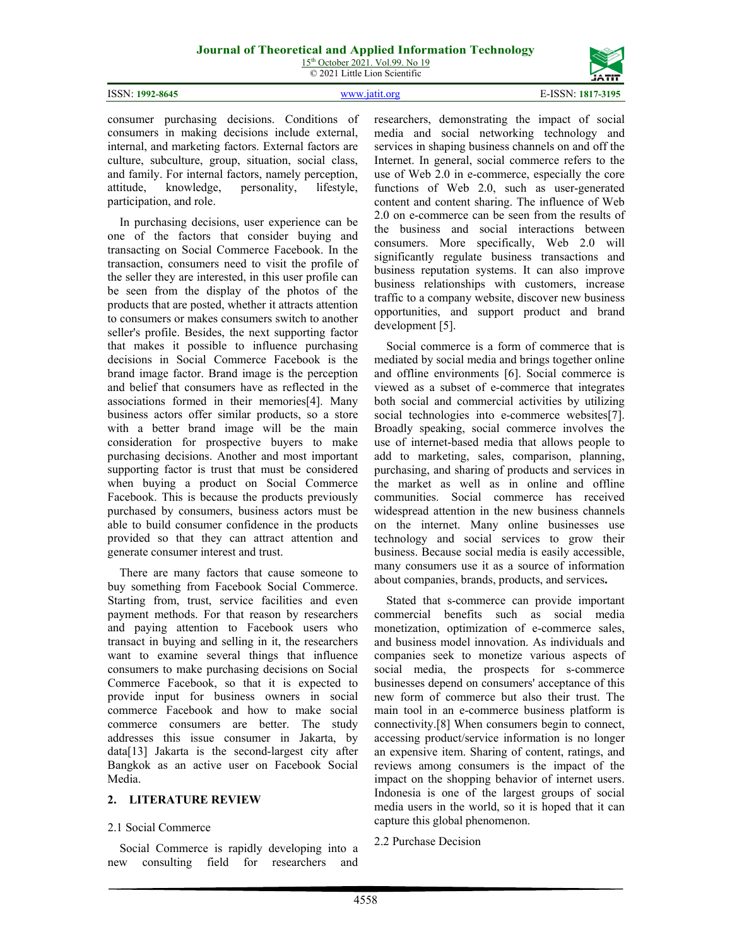15<sup>th</sup> October 2021. Vol.99. No 19 © 2021 Little Lion Scientific



consumer purchasing decisions. Conditions of consumers in making decisions include external, internal, and marketing factors. External factors are culture, subculture, group, situation, social class, and family. For internal factors, namely perception, attitude, knowledge, personality, lifestyle, participation, and role.

In purchasing decisions, user experience can be one of the factors that consider buying and transacting on Social Commerce Facebook. In the transaction, consumers need to visit the profile of the seller they are interested, in this user profile can be seen from the display of the photos of the products that are posted, whether it attracts attention to consumers or makes consumers switch to another seller's profile. Besides, the next supporting factor that makes it possible to influence purchasing decisions in Social Commerce Facebook is the brand image factor. Brand image is the perception and belief that consumers have as reflected in the associations formed in their memories[4]. Many business actors offer similar products, so a store with a better brand image will be the main consideration for prospective buyers to make purchasing decisions. Another and most important supporting factor is trust that must be considered when buying a product on Social Commerce Facebook. This is because the products previously purchased by consumers, business actors must be able to build consumer confidence in the products provided so that they can attract attention and generate consumer interest and trust.

There are many factors that cause someone to buy something from Facebook Social Commerce. Starting from, trust, service facilities and even payment methods. For that reason by researchers and paying attention to Facebook users who transact in buying and selling in it, the researchers want to examine several things that influence consumers to make purchasing decisions on Social Commerce Facebook, so that it is expected to provide input for business owners in social commerce Facebook and how to make social commerce consumers are better. The study addresses this issue consumer in Jakarta, by data[13] Jakarta is the second-largest city after Bangkok as an active user on Facebook Social Media.

### **2. LITERATURE REVIEW**

### 2.1 Social Commerce

Social Commerce is rapidly developing into a new consulting field for researchers and researchers, demonstrating the impact of social media and social networking technology and services in shaping business channels on and off the Internet. In general, social commerce refers to the use of Web 2.0 in e-commerce, especially the core functions of Web 2.0, such as user-generated content and content sharing. The influence of Web 2.0 on e-commerce can be seen from the results of the business and social interactions between consumers. More specifically, Web 2.0 will significantly regulate business transactions and business reputation systems. It can also improve business relationships with customers, increase traffic to a company website, discover new business opportunities, and support product and brand development [5].

Social commerce is a form of commerce that is mediated by social media and brings together online and offline environments [6]. Social commerce is viewed as a subset of e-commerce that integrates both social and commercial activities by utilizing social technologies into e-commerce websites[7]. Broadly speaking, social commerce involves the use of internet-based media that allows people to add to marketing, sales, comparison, planning, purchasing, and sharing of products and services in the market as well as in online and offline communities. Social commerce has received widespread attention in the new business channels on the internet. Many online businesses use technology and social services to grow their business. Because social media is easily accessible, many consumers use it as a source of information about companies, brands, products, and services**.**

Stated that s-commerce can provide important commercial benefits such as social media monetization, optimization of e-commerce sales, and business model innovation. As individuals and companies seek to monetize various aspects of social media, the prospects for s-commerce businesses depend on consumers' acceptance of this new form of commerce but also their trust. The main tool in an e-commerce business platform is connectivity.[8] When consumers begin to connect, accessing product/service information is no longer an expensive item. Sharing of content, ratings, and reviews among consumers is the impact of the impact on the shopping behavior of internet users. Indonesia is one of the largest groups of social media users in the world, so it is hoped that it can capture this global phenomenon.

2.2 Purchase Decision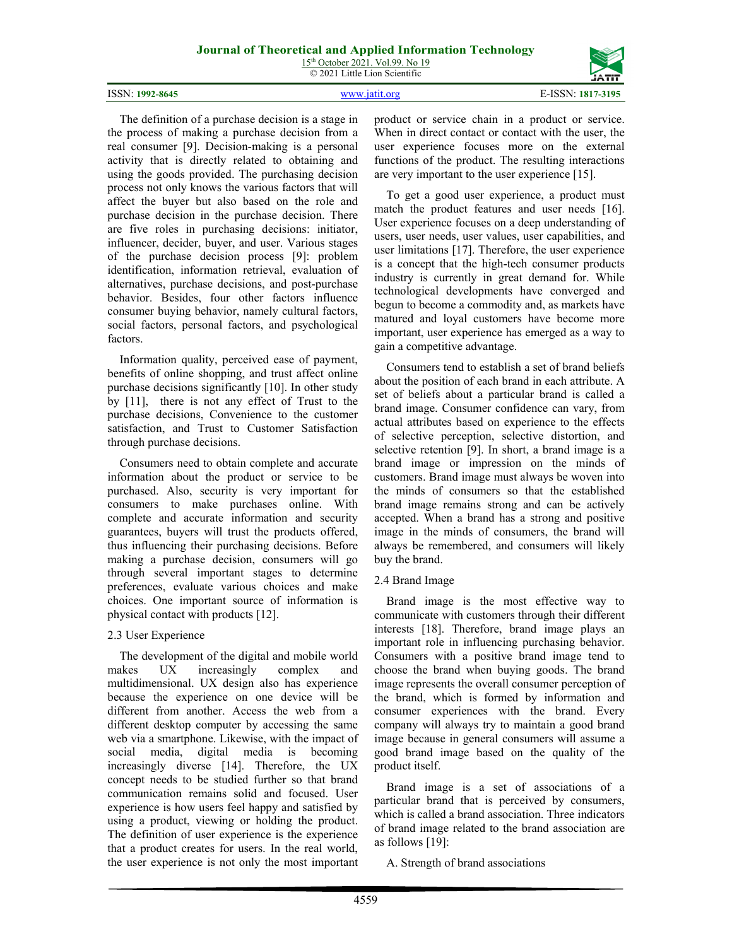15<sup>th</sup> October 2021. Vol.99. No 19 © 2021 Little Lion Scientific

|  | ISSN: 1992-8645 |
|--|-----------------|
|--|-----------------|



ISSN: **1992-8645** [www.jatit.org](http://www.jatit.org/) E-ISSN: **1817-3195**

The definition of a purchase decision is a stage in the process of making a purchase decision from a real consumer [9]. Decision-making is a personal activity that is directly related to obtaining and using the goods provided. The purchasing decision process not only knows the various factors that will affect the buyer but also based on the role and purchase decision in the purchase decision. There are five roles in purchasing decisions: initiator, influencer, decider, buyer, and user. Various stages of the purchase decision process [9]: problem identification, information retrieval, evaluation of alternatives, purchase decisions, and post-purchase behavior. Besides, four other factors influence consumer buying behavior, namely cultural factors, social factors, personal factors, and psychological factors.

Information quality, perceived ease of payment, benefits of online shopping, and trust affect online purchase decisions significantly [10]. In other study by [11], there is not any effect of Trust to the purchase decisions, Convenience to the customer satisfaction, and Trust to Customer Satisfaction through purchase decisions.

Consumers need to obtain complete and accurate information about the product or service to be purchased. Also, security is very important for consumers to make purchases online. With complete and accurate information and security guarantees, buyers will trust the products offered, thus influencing their purchasing decisions. Before making a purchase decision, consumers will go through several important stages to determine preferences, evaluate various choices and make choices. One important source of information is physical contact with products [12].

# 2.3 User Experience

The development of the digital and mobile world<br>akes UX increasingly complex and makes UX increasingly complex and multidimensional. UX design also has experience because the experience on one device will be different from another. Access the web from a different desktop computer by accessing the same web via a smartphone. Likewise, with the impact of social media, digital media is becoming increasingly diverse [14]. Therefore, the UX concept needs to be studied further so that brand communication remains solid and focused. User experience is how users feel happy and satisfied by using a product, viewing or holding the product. The definition of user experience is the experience that a product creates for users. In the real world, the user experience is not only the most important product or service chain in a product or service. When in direct contact or contact with the user, the user experience focuses more on the external functions of the product. The resulting interactions are very important to the user experience [15].

To get a good user experience, a product must match the product features and user needs [16]. User experience focuses on a deep understanding of users, user needs, user values, user capabilities, and user limitations [17]. Therefore, the user experience is a concept that the high-tech consumer products industry is currently in great demand for. While technological developments have converged and begun to become a commodity and, as markets have matured and loyal customers have become more important, user experience has emerged as a way to gain a competitive advantage.

Consumers tend to establish a set of brand beliefs about the position of each brand in each attribute. A set of beliefs about a particular brand is called a brand image. Consumer confidence can vary, from actual attributes based on experience to the effects of selective perception, selective distortion, and selective retention [9]. In short, a brand image is a brand image or impression on the minds of customers. Brand image must always be woven into the minds of consumers so that the established brand image remains strong and can be actively accepted. When a brand has a strong and positive image in the minds of consumers, the brand will always be remembered, and consumers will likely buy the brand.

### 2.4 Brand Image

Brand image is the most effective way to communicate with customers through their different interests [18]. Therefore, brand image plays an important role in influencing purchasing behavior. Consumers with a positive brand image tend to choose the brand when buying goods. The brand image represents the overall consumer perception of the brand, which is formed by information and consumer experiences with the brand. Every company will always try to maintain a good brand image because in general consumers will assume a good brand image based on the quality of the product itself.

Brand image is a set of associations of a particular brand that is perceived by consumers, which is called a brand association. Three indicators of brand image related to the brand association are as follows [19]:

A. Strength of brand associations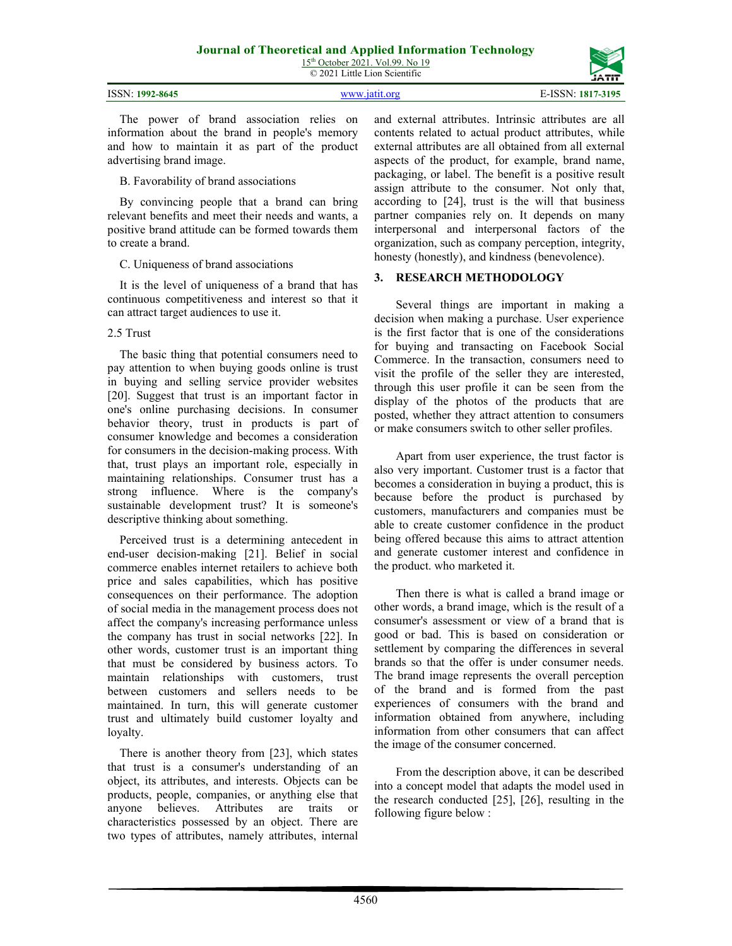| ISSN: 1992-8645 | www 1941 ore | $E$ -ISSN:<br>1817-3195 |
|-----------------|--------------|-------------------------|

The power of brand association relies on information about the brand in people's memory and how to maintain it as part of the product advertising brand image.

# B. Favorability of brand associations

By convincing people that a brand can bring relevant benefits and meet their needs and wants, a positive brand attitude can be formed towards them to create a brand.

# C. Uniqueness of brand associations

It is the level of uniqueness of a brand that has continuous competitiveness and interest so that it can attract target audiences to use it.

# 2.5 Trust

The basic thing that potential consumers need to pay attention to when buying goods online is trust in buying and selling service provider websites [20]. Suggest that trust is an important factor in one's online purchasing decisions. In consumer behavior theory, trust in products is part of consumer knowledge and becomes a consideration for consumers in the decision-making process. With that, trust plays an important role, especially in maintaining relationships. Consumer trust has a strong influence. Where is the company's sustainable development trust? It is someone's descriptive thinking about something.

Perceived trust is a determining antecedent in end-user decision-making [21]. Belief in social commerce enables internet retailers to achieve both price and sales capabilities, which has positive consequences on their performance. The adoption of social media in the management process does not affect the company's increasing performance unless the company has trust in social networks [22]. In other words, customer trust is an important thing that must be considered by business actors. To maintain relationships with customers, trust between customers and sellers needs to be maintained. In turn, this will generate customer trust and ultimately build customer loyalty and loyalty.

There is another theory from [23], which states that trust is a consumer's understanding of an object, its attributes, and interests. Objects can be products, people, companies, or anything else that anyone believes. Attributes are traits or characteristics possessed by an object. There are two types of attributes, namely attributes, internal and external attributes. Intrinsic attributes are all contents related to actual product attributes, while external attributes are all obtained from all external aspects of the product, for example, brand name, packaging, or label. The benefit is a positive result assign attribute to the consumer. Not only that, according to [24], trust is the will that business partner companies rely on. It depends on many interpersonal and interpersonal factors of the organization, such as company perception, integrity, honesty (honestly), and kindness (benevolence).

# **3. RESEARCH METHODOLOGY**

Several things are important in making a decision when making a purchase. User experience is the first factor that is one of the considerations for buying and transacting on Facebook Social Commerce. In the transaction, consumers need to visit the profile of the seller they are interested, through this user profile it can be seen from the display of the photos of the products that are posted, whether they attract attention to consumers or make consumers switch to other seller profiles.

Apart from user experience, the trust factor is also very important. Customer trust is a factor that becomes a consideration in buying a product, this is because before the product is purchased by customers, manufacturers and companies must be able to create customer confidence in the product being offered because this aims to attract attention and generate customer interest and confidence in the product. who marketed it.

Then there is what is called a brand image or other words, a brand image, which is the result of a consumer's assessment or view of a brand that is good or bad. This is based on consideration or settlement by comparing the differences in several brands so that the offer is under consumer needs. The brand image represents the overall perception of the brand and is formed from the past experiences of consumers with the brand and information obtained from anywhere, including information from other consumers that can affect the image of the consumer concerned.

From the description above, it can be described into a concept model that adapts the model used in the research conducted [25], [26], resulting in the following figure below :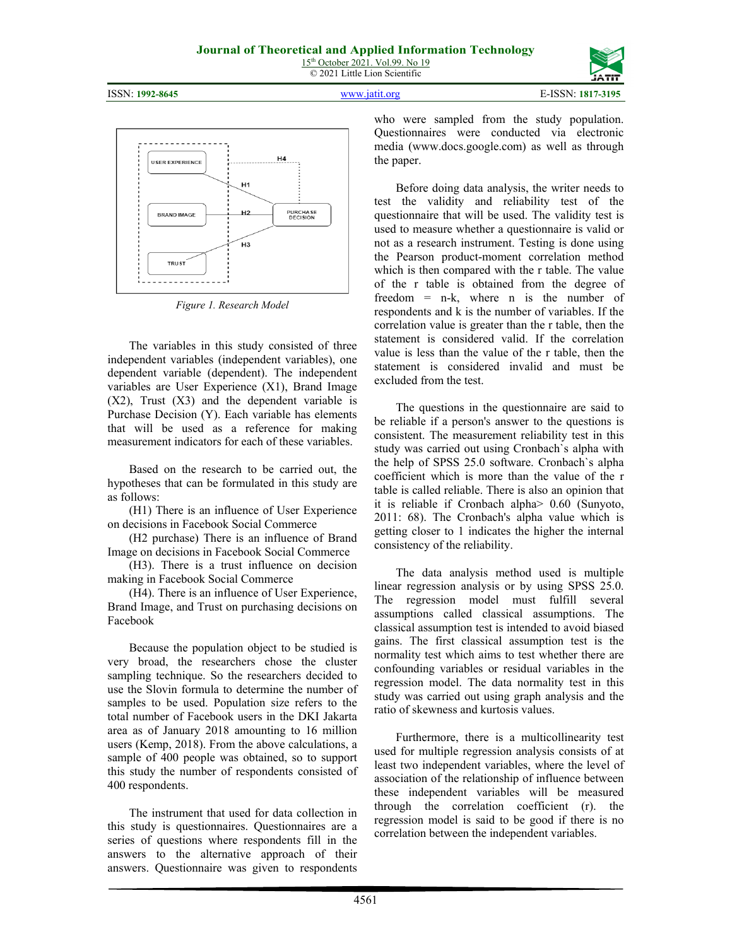ISSN: **1992-8645** [www.jatit.org](http://www.jatit.org/) E-ISSN: **1817-3195**





*Figure 1. Research Model*

The variables in this study consisted of three independent variables (independent variables), one dependent variable (dependent). The independent variables are User Experience (X1), Brand Image  $(X2)$ , Trust  $(X3)$  and the dependent variable is Purchase Decision (Y). Each variable has elements that will be used as a reference for making measurement indicators for each of these variables.

Based on the research to be carried out, the hypotheses that can be formulated in this study are as follows:

(H1) There is an influence of User Experience on decisions in Facebook Social Commerce

(H2 purchase) There is an influence of Brand Image on decisions in Facebook Social Commerce

(H3). There is a trust influence on decision making in Facebook Social Commerce

(H4). There is an influence of User Experience, Brand Image, and Trust on purchasing decisions on Facebook

Because the population object to be studied is very broad, the researchers chose the cluster sampling technique. So the researchers decided to use the Slovin formula to determine the number of samples to be used. Population size refers to the total number of Facebook users in the DKI Jakarta area as of January 2018 amounting to 16 million users (Kemp, 2018). From the above calculations, a sample of 400 people was obtained, so to support this study the number of respondents consisted of 400 respondents.

The instrument that used for data collection in this study is questionnaires. Questionnaires are a series of questions where respondents fill in the answers to the alternative approach of their answers. Questionnaire was given to respondents who were sampled from the study population. Questionnaires were conducted via electronic media (www.docs.google.com) as well as through the paper.

Before doing data analysis, the writer needs to test the validity and reliability test of the questionnaire that will be used. The validity test is used to measure whether a questionnaire is valid or not as a research instrument. Testing is done using the Pearson product-moment correlation method which is then compared with the r table. The value of the r table is obtained from the degree of freedom  $=$  n-k, where n is the number of respondents and k is the number of variables. If the correlation value is greater than the r table, then the statement is considered valid. If the correlation value is less than the value of the r table, then the statement is considered invalid and must be excluded from the test.

The questions in the questionnaire are said to be reliable if a person's answer to the questions is consistent. The measurement reliability test in this study was carried out using Cronbach`s alpha with the help of SPSS 25.0 software. Cronbach`s alpha coefficient which is more than the value of the r table is called reliable. There is also an opinion that it is reliable if Cronbach alpha> 0.60 (Sunyoto, 2011: 68). The Cronbach's alpha value which is getting closer to 1 indicates the higher the internal consistency of the reliability.

The data analysis method used is multiple linear regression analysis or by using SPSS 25.0. The regression model must fulfill several assumptions called classical assumptions. The classical assumption test is intended to avoid biased gains. The first classical assumption test is the normality test which aims to test whether there are confounding variables or residual variables in the regression model. The data normality test in this study was carried out using graph analysis and the ratio of skewness and kurtosis values.

Furthermore, there is a multicollinearity test used for multiple regression analysis consists of at least two independent variables, where the level of association of the relationship of influence between these independent variables will be measured through the correlation coefficient (r). the regression model is said to be good if there is no correlation between the independent variables.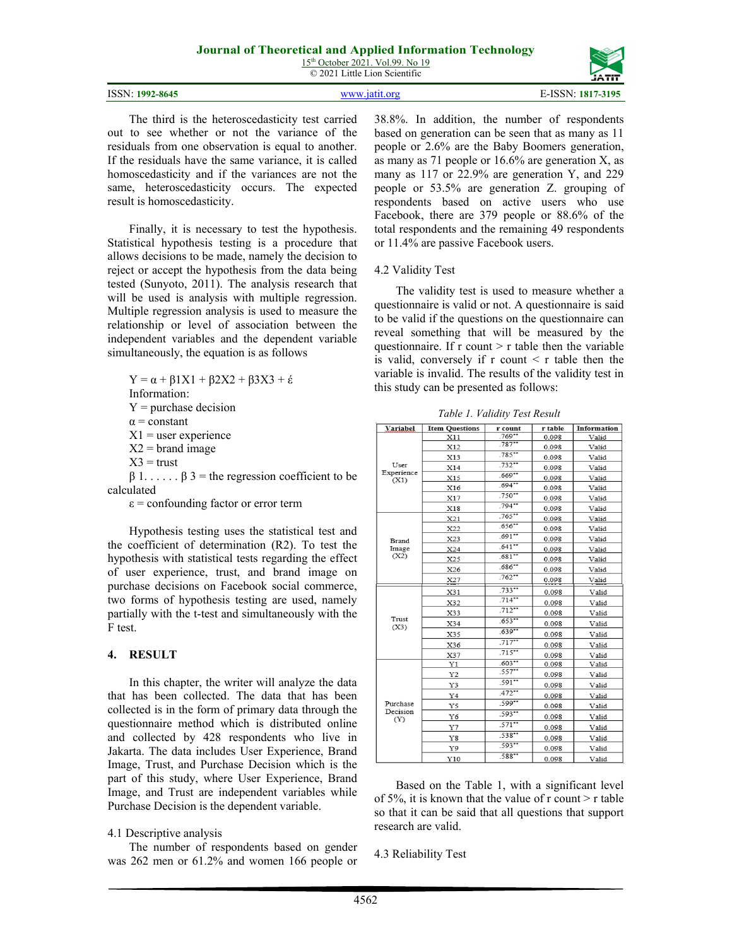15<sup>th</sup> October 2021. Vol.99. No 19 © 2021 Little Lion Scientific

| ISSN:<br>1992-8645 | $1817 - 319$ <sup>-</sup><br>1-ISSN<br>the contract of the contract of the contract of the contract of the contract of the contract of the contract of |
|--------------------|--------------------------------------------------------------------------------------------------------------------------------------------------------|
|--------------------|--------------------------------------------------------------------------------------------------------------------------------------------------------|

The third is the heteroscedasticity test carried out to see whether or not the variance of the residuals from one observation is equal to another. If the residuals have the same variance, it is called homoscedasticity and if the variances are not the same, heteroscedasticity occurs. The expected result is homoscedasticity.

Finally, it is necessary to test the hypothesis. Statistical hypothesis testing is a procedure that allows decisions to be made, namely the decision to reject or accept the hypothesis from the data being tested (Sunyoto, 2011). The analysis research that will be used is analysis with multiple regression. Multiple regression analysis is used to measure the relationship or level of association between the independent variables and the dependent variable simultaneously, the equation is as follows

$$
Y = \alpha + \beta 1X1 + \beta 2X2 + \beta 3X3 + \epsilon
$$
  
Information:  
Y = purchase decision  
 $\alpha$  = constant  
X1 = user experience  
X2 = brand image  
X3 = trust

 $\beta$  1. . . . . .  $\beta$  3 = the regression coefficient to be calculated

 $\epsilon$  = confounding factor or error term

Hypothesis testing uses the statistical test and the coefficient of determination (R2). To test the hypothesis with statistical tests regarding the effect of user experience, trust, and brand image on purchase decisions on Facebook social commerce, two forms of hypothesis testing are used, namely partially with the t-test and simultaneously with the F test.

### **4. RESULT**

In this chapter, the writer will analyze the data that has been collected. The data that has been collected is in the form of primary data through the questionnaire method which is distributed online and collected by 428 respondents who live in Jakarta. The data includes User Experience, Brand Image, Trust, and Purchase Decision which is the part of this study, where User Experience, Brand Image, and Trust are independent variables while Purchase Decision is the dependent variable.

# 4.1 Descriptive analysis

The number of respondents based on gender was 262 men or 61.2% and women 166 people or 38.8%. In addition, the number of respondents based on generation can be seen that as many as 11 people or 2.6% are the Baby Boomers generation, as many as 71 people or 16.6% are generation X, as many as 117 or 22.9% are generation Y, and 229 people or 53.5% are generation Z. grouping of respondents based on active users who use Facebook, there are 379 people or 88.6% of the total respondents and the remaining 49 respondents or 11.4% are passive Facebook users.

# 4.2 Validity Test

The validity test is used to measure whether a questionnaire is valid or not. A questionnaire is said to be valid if the questions on the questionnaire can reveal something that will be measured by the questionnaire. If  $r$  count  $\geq r$  table then the variable is valid, conversely if r count  $\leq r$  table then the variable is invalid. The results of the validity test in this study can be presented as follows:

| <b>Variabel</b>    | <b>Item Ouestions</b> | r count  | r table      | Information |
|--------------------|-----------------------|----------|--------------|-------------|
|                    | X11                   | .769     | 0.098        | Valid       |
|                    | X12                   | .787     | 0.098        | Valid       |
|                    | X13                   | .785     | 0.098        | Valid       |
| User               | X14                   | .732     | 0.098        | Valid       |
| Experience<br>(X1) | X15                   | $.669**$ | 0.098        | Valid       |
|                    | X16                   | $.694**$ | 0.098        | Valid       |
|                    | X17                   | $.750**$ | 0.098        | Valid       |
|                    | X18                   | $.794**$ | 0.098        | Valid       |
|                    | X21                   | $.765**$ | 0.098        | Valid       |
|                    | X22                   | .656     | 0.098        | Valid       |
| Brand              | X23                   | $.691**$ | 0.098        | Valid       |
| Image              | X24                   | $.641**$ | 0.098        | Valid       |
| (X2)               | X25                   | .681     | 0.098        | Valid       |
|                    | X26                   | .686     | 0.098        | Valid       |
|                    | X27                   | .762     | 0.098        | Valid       |
|                    | X31                   | .733     | 0.098        | Valid       |
|                    | X32                   | .714     | 0.098        | Valid       |
|                    | X33                   | .712     | 0.098        | Valid       |
| Trust<br>(X3)      | X34                   | .653     | 0.098        | Valid       |
|                    | X35                   | .639     | 0.098        | Valid       |
|                    | X36                   | .717     | 0.098        | Valid       |
|                    | X37                   | .715     | 0.098        | Valid       |
|                    | $_{\rm Y1}$           | .603     | 0.098        | Valid       |
|                    | Y2                    | .557     | 0.098        | Valid       |
|                    | Y3                    | .591     | 0.098        | Valid       |
|                    | Y <sub>4</sub>        | .472     | 0.098        | Valid       |
| Purchase           | Y5                    | .599     | 0.098        | Valid       |
| Decision<br>(Y)    | Y6                    | .593     | 0.098        | Valid       |
|                    | Y7                    | .571     | 0.098        | Valid       |
|                    | Y8                    | .538     | 0.098        | Valid       |
|                    | Y9                    | .593     | 0.098        | Valid       |
|                    | V10                   | 588      | <b>0.008</b> | MicM        |

Based on the Table 1, with a significant level of 5%, it is known that the value of  $r$  count  $> r$  table so that it can be said that all questions that support research are valid.

4.3 Reliability Test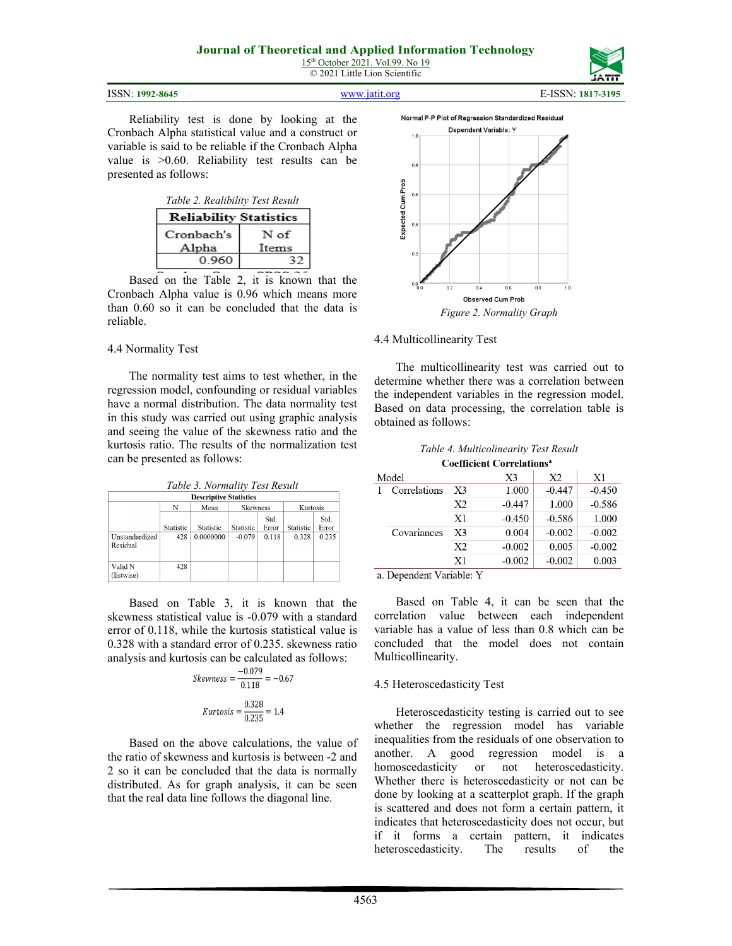| ISSN: 1992-8645 | www.jatit.org | E-ISSN: 1817-3195 |
|-----------------|---------------|-------------------|
|                 |               |                   |

Reliability test is done by looking at the Cronbach Alpha statistical value and a construct or variable is said to be reliable if the Cronbach Alpha value is >0.60. Reliability test results can be presented as follows:



Based on the Table 2, it is known that the Cronbach Alpha value is 0.96 which means more than 0.60 so it can be concluded that the data is reliable.

#### 4.4 Normality Test

The normality test aims to test whether, in the regression model, confounding or residual variables have a normal distribution. The data normality test in this study was carried out using graphic analysis and seeing the value of the skewness ratio and the kurtosis ratio. The results of the normalization test can be presented as follows:

| Table 3. Normality Test Result<br><b>Descriptive Statistics</b> |                  |                        |                       |                        |                    |                        |
|-----------------------------------------------------------------|------------------|------------------------|-----------------------|------------------------|--------------------|------------------------|
|                                                                 | N                | Mean                   | <b>Skewness</b>       |                        | Kurtosis           |                        |
| Unstandardized<br>Residual                                      | Statistic<br>428 | Statistic<br>0.0000000 | Statistic<br>$-0.079$ | Std.<br>Error<br>0.118 | Statistic<br>0.328 | Std.<br>Error<br>0.235 |
| Valid N<br>(listwise)                                           | 428              |                        |                       |                        |                    |                        |

Based on Table 3, it is known that the skewness statistical value is -0.079 with a standard error of 0.118, while the kurtosis statistical value is 0.328 with a standard error of 0.235. skewness ratio analysis and kurtosis can be calculated as follows:

$$
Skewness = \frac{-0.079}{0.118} = -0.67
$$

$$
Kurtosis = \frac{0.328}{0.235} = 1.4
$$

Based on the above calculations, the value of the ratio of skewness and kurtosis is between -2 and 2 so it can be concluded that the data is normally distributed. As for graph analysis, it can be seen that the real data line follows the diagonal line.



4.4 Multicollinearity Test

The multicollinearity test was carried out to determine whether there was a correlation between the independent variables in the regression model. Based on data processing, the correlation table is obtained as follows:

| Table 4. Multicolinearity Test Result |
|---------------------------------------|
| Coefficient Correlations <sup>a</sup> |

|              |                | Coemicient Correiations" |                |          |
|--------------|----------------|--------------------------|----------------|----------|
| Model        |                | X3                       | X <sub>2</sub> | X1       |
| Correlations | X3             | 1.000                    | $-0.447$       | $-0.450$ |
|              | X <sub>2</sub> | $-0.447$                 | 1.000          | $-0.586$ |
|              | X1             | $-0.450$                 | $-0.586$       | 1.000    |
| Covariances  | X3             | 0.004                    | $-0.002$       | $-0.002$ |
|              | X <sub>2</sub> | $-0.002$                 | 0.005          | $-0.002$ |
|              | X1             | $-0.002$                 | $-0.002$       | 0.003    |
|              |                |                          |                |          |

a. Dependent Variable: Y

Based on Table 4, it can be seen that the correlation value between each independent variable has a value of less than 0.8 which can be concluded that the model does not contain Multicollinearity.

### 4.5 Heteroscedasticity Test

Heteroscedasticity testing is carried out to see whether the regression model has variable inequalities from the residuals of one observation to another. A good regression model is a homoscedasticity or not heteroscedasticity. Whether there is heteroscedasticity or not can be done by looking at a scatterplot graph. If the graph is scattered and does not form a certain pattern, it indicates that heteroscedasticity does not occur, but if it forms a certain pattern, it indicates heteroscedasticity. The results of the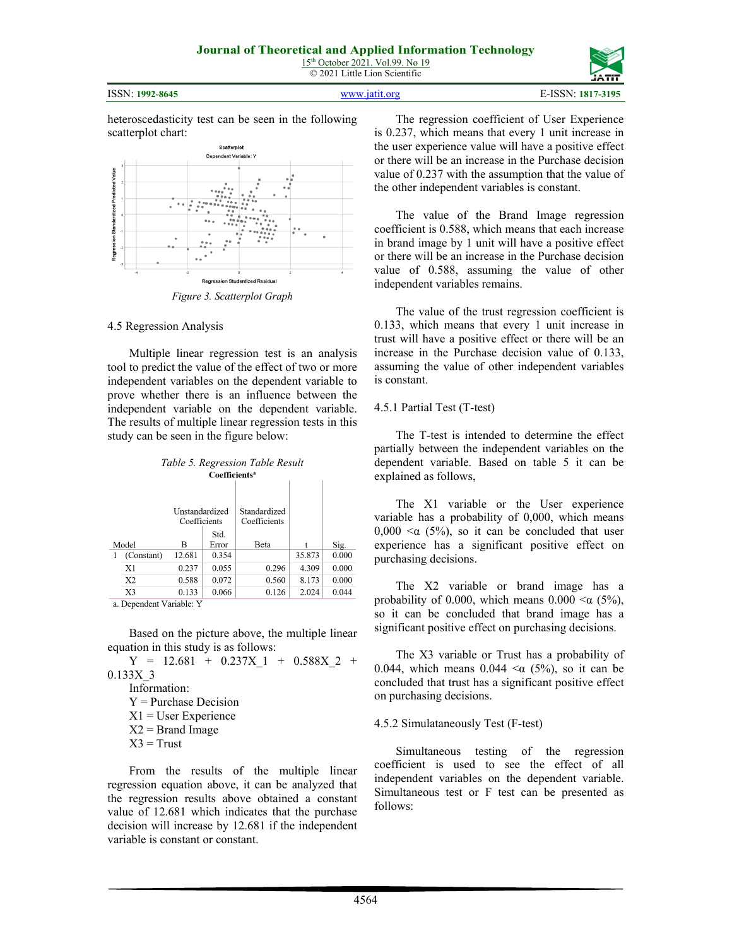ISSN: **1992-8645** [www.jatit.org](http://www.jatit.org/) E-ISSN: **1817-3195**

heteroscedasticity test can be seen in the following scatterplot chart:



#### 4.5 Regression Analysis

Multiple linear regression test is an analysis tool to predict the value of the effect of two or more independent variables on the dependent variable to prove whether there is an influence between the independent variable on the dependent variable. The results of multiple linear regression tests in this study can be seen in the figure below:

|                | Unstandardized<br>Coefficients |               | Standardized<br>Coefficients |        |       |
|----------------|--------------------------------|---------------|------------------------------|--------|-------|
| Model          | в                              | Std.<br>Error | <b>Beta</b>                  | t      | Sig.  |
| (Constant)     | 12.681                         | 0.354         |                              | 35.873 | 0.000 |
| X1             | 0.237                          | 0.055         | 0.296                        | 4.309  | 0.000 |
| X2             | 0.588                          | 0.072         | 0.560                        | 8.173  | 0.000 |
| X <sub>3</sub> | 0.133                          | 0.066         | 0.126                        | 2.024  | 0.044 |

*Table 5. Regression Table Result*

a. Dependent Variable: Y

Based on the picture above, the multiple linear equation in this study is as follows:

 $Y = 12.681 + 0.237X1 + 0.588X2 +$ 0.133X\_3

Information:

 $Y =$  Purchase Decision

X1 = User Experience

 $X2 =$ Brand Image

 $X3$  = Trust

From the results of the multiple linear regression equation above, it can be analyzed that the regression results above obtained a constant value of 12.681 which indicates that the purchase decision will increase by 12.681 if the independent variable is constant or constant.

The regression coefficient of User Experience is 0.237, which means that every 1 unit increase in the user experience value will have a positive effect or there will be an increase in the Purchase decision value of 0.237 with the assumption that the value of the other independent variables is constant.

The value of the Brand Image regression coefficient is 0.588, which means that each increase in brand image by 1 unit will have a positive effect or there will be an increase in the Purchase decision value of 0.588, assuming the value of other independent variables remains.

The value of the trust regression coefficient is 0.133, which means that every 1 unit increase in trust will have a positive effect or there will be an increase in the Purchase decision value of 0.133, assuming the value of other independent variables is constant.

## 4.5.1 Partial Test (T-test)

The T-test is intended to determine the effect partially between the independent variables on the dependent variable. Based on table 5 it can be explained as follows,

The X1 variable or the User experience variable has a probability of 0,000, which means  $0,000 \leq \alpha$  (5%), so it can be concluded that user experience has a significant positive effect on purchasing decisions.

The X2 variable or brand image has a probability of 0.000, which means  $0.000 \leq \alpha$  (5%), so it can be concluded that brand image has a significant positive effect on purchasing decisions.

The X3 variable or Trust has a probability of 0.044, which means 0.044  $\lt \alpha$  (5%), so it can be concluded that trust has a significant positive effect on purchasing decisions.

### 4.5.2 Simulataneously Test (F-test)

Simultaneous testing of the regression coefficient is used to see the effect of all independent variables on the dependent variable. Simultaneous test or F test can be presented as follows: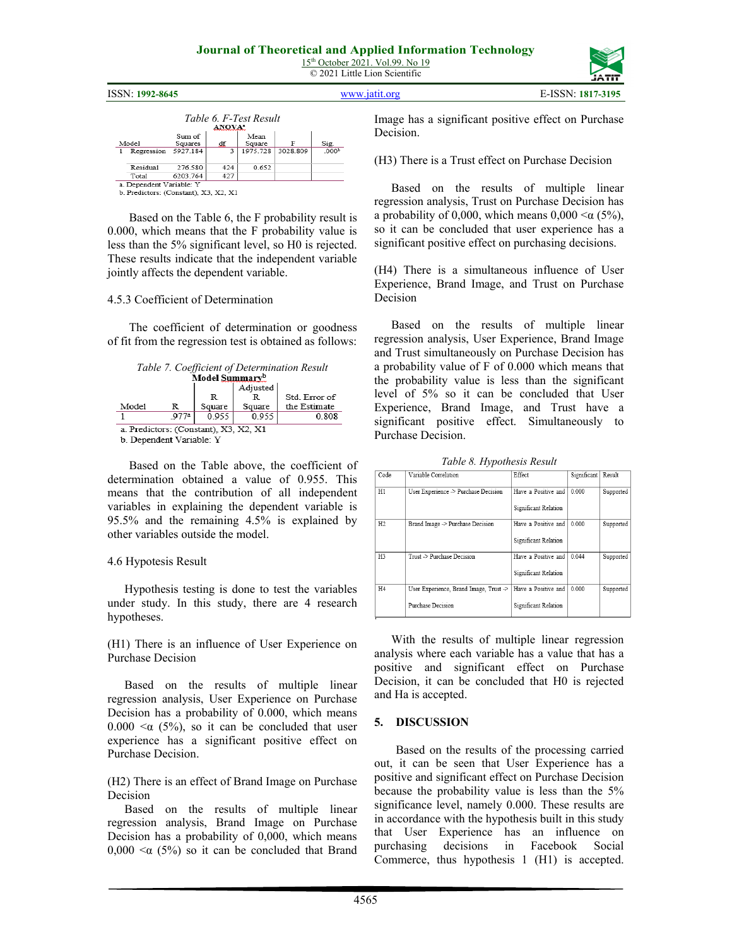|  | 15 <sup>th</sup> October 2021. Vol.99. No 19 |  |
|--|----------------------------------------------|--|
|  | © 2021 Little Lion Scientific                |  |

ISSN: **1992-8645** [www.jatit.org](http://www.jatit.org/) E-ISSN: **1817-3195**



b. Predictors: (Constant), X3, X2, X1

Based on the Table 6, the F probability result is 0.000, which means that the F probability value is less than the 5% significant level, so H0 is rejected. These results indicate that the independent variable jointly affects the dependent variable.

### 4.5.3 Coefficient of Determination

The coefficient of determination or goodness of fit from the regression test is obtained as follows:

| Table 7. Coefficient of Determination Result |   |                            |          |               |  |  |
|----------------------------------------------|---|----------------------------|----------|---------------|--|--|
|                                              |   | Model Summary <sup>b</sup> |          |               |  |  |
|                                              |   |                            | Adjusted |               |  |  |
|                                              |   | R                          |          | Std. Error of |  |  |
| Model                                        | R | Square                     | Square   | the Estimate  |  |  |
| 0.955<br>0.955<br>977a<br>0.808              |   |                            |          |               |  |  |
| a. Predictors: (Constant), X3, X2, X1        |   |                            |          |               |  |  |

b. Dependent Variable: Y

Based on the Table above, the coefficient of determination obtained a value of 0.955. This means that the contribution of all independent variables in explaining the dependent variable is 95.5% and the remaining 4.5% is explained by other variables outside the model.

### 4.6 Hypotesis Result

Hypothesis testing is done to test the variables under study. In this study, there are 4 research hypotheses.

(H1) There is an influence of User Experience on Purchase Decision

Based on the results of multiple linear regression analysis, User Experience on Purchase Decision has a probability of 0.000, which means  $0.000 \leq \alpha$  (5%), so it can be concluded that user experience has a significant positive effect on Purchase Decision.

(H2) There is an effect of Brand Image on Purchase Decision

Based on the results of multiple linear regression analysis, Brand Image on Purchase Decision has a probability of 0,000, which means  $0.000 \leq \alpha$  (5%) so it can be concluded that Brand Image has a significant positive effect on Purchase Decision.

(H3) There is a Trust effect on Purchase Decision

Based on the results of multiple linear regression analysis, Trust on Purchase Decision has a probability of 0,000, which means  $0,000 \leq \alpha$  (5%), so it can be concluded that user experience has a significant positive effect on purchasing decisions.

(H4) There is a simultaneous influence of User Experience, Brand Image, and Trust on Purchase Decision

Based on the results of multiple linear regression analysis, User Experience, Brand Image and Trust simultaneously on Purchase Decision has a probability value of F of 0.000 which means that the probability value is less than the significant level of 5% so it can be concluded that User Experience, Brand Image, and Trust have a significant positive effect. Simultaneously to Purchase Decision.

*Table 8. Hypothesis Result*

| Code           | Variable Correlation                   | Effect               | Significant | Result    |
|----------------|----------------------------------------|----------------------|-------------|-----------|
| H1             | User Experience -> Purchase Decision   | Have a Positive and  | 0.000       | Supported |
|                |                                        | Significant Relation |             |           |
| H2             | Brand Image -> Purchase Decision       | Have a Positive and  | 0.000       | Supported |
|                |                                        | Significant Relation |             |           |
| H3             | Trust -> Purchase Decision             | Have a Positive and  | 0.044       | Supported |
|                |                                        | Significant Relation |             |           |
| H <sub>4</sub> | User Experience, Brand Image, Trust -> | Have a Positive and  | 0.000       | Supported |
|                | Purchase Decision                      | Significant Relation |             |           |

With the results of multiple linear regression analysis where each variable has a value that has a positive and significant effect on Purchase Decision, it can be concluded that H0 is rejected and Ha is accepted.

# **5. DISCUSSION**

Based on the results of the processing carried out, it can be seen that User Experience has a positive and significant effect on Purchase Decision because the probability value is less than the 5% significance level, namely 0.000. These results are in accordance with the hypothesis built in this study that User Experience has an influence on purchasing decisions in Facebook Social Commerce, thus hypothesis 1 (H1) is accepted.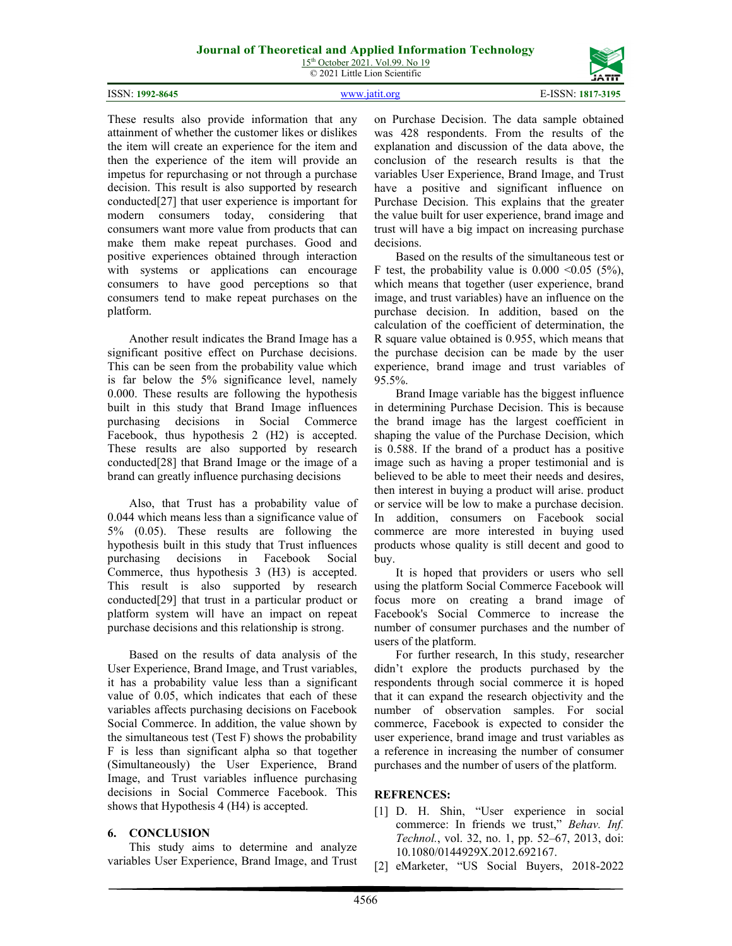15<sup>th</sup> October 2021. Vol.99. No 19 © 2021 Little Lion Scientific

These results also provide information that any attainment of whether the customer likes or dislikes the item will create an experience for the item and then the experience of the item will provide an impetus for repurchasing or not through a purchase decision. This result is also supported by research conducted[27] that user experience is important for modern consumers today, considering that consumers want more value from products that can make them make repeat purchases. Good and positive experiences obtained through interaction with systems or applications can encourage consumers to have good perceptions so that consumers tend to make repeat purchases on the platform.

Another result indicates the Brand Image has a significant positive effect on Purchase decisions. This can be seen from the probability value which is far below the 5% significance level, namely 0.000. These results are following the hypothesis built in this study that Brand Image influences purchasing decisions in Social Commerce Facebook, thus hypothesis 2 (H2) is accepted. These results are also supported by research conducted[28] that Brand Image or the image of a brand can greatly influence purchasing decisions

Also, that Trust has a probability value of 0.044 which means less than a significance value of 5% (0.05). These results are following the hypothesis built in this study that Trust influences purchasing decisions in Facebook Social Commerce, thus hypothesis 3 (H3) is accepted. This result is also supported by research conducted[29] that trust in a particular product or platform system will have an impact on repeat purchase decisions and this relationship is strong.

Based on the results of data analysis of the User Experience, Brand Image, and Trust variables, it has a probability value less than a significant value of 0.05, which indicates that each of these variables affects purchasing decisions on Facebook Social Commerce. In addition, the value shown by the simultaneous test (Test F) shows the probability F is less than significant alpha so that together (Simultaneously) the User Experience, Brand Image, and Trust variables influence purchasing decisions in Social Commerce Facebook. This shows that Hypothesis 4 (H4) is accepted.

### **6. CONCLUSION**

This study aims to determine and analyze variables User Experience, Brand Image, and Trust on Purchase Decision. The data sample obtained was 428 respondents. From the results of the explanation and discussion of the data above, the conclusion of the research results is that the variables User Experience, Brand Image, and Trust have a positive and significant influence on Purchase Decision. This explains that the greater the value built for user experience, brand image and trust will have a big impact on increasing purchase decisions.

Based on the results of the simultaneous test or F test, the probability value is  $0.000 \le 0.05$  (5%), which means that together (user experience, brand image, and trust variables) have an influence on the purchase decision. In addition, based on the calculation of the coefficient of determination, the R square value obtained is 0.955, which means that the purchase decision can be made by the user experience, brand image and trust variables of 95.5%.

Brand Image variable has the biggest influence in determining Purchase Decision. This is because the brand image has the largest coefficient in shaping the value of the Purchase Decision, which is 0.588. If the brand of a product has a positive image such as having a proper testimonial and is believed to be able to meet their needs and desires, then interest in buying a product will arise. product or service will be low to make a purchase decision. In addition, consumers on Facebook social commerce are more interested in buying used products whose quality is still decent and good to buy.

It is hoped that providers or users who sell using the platform Social Commerce Facebook will focus more on creating a brand image of Facebook's Social Commerce to increase the number of consumer purchases and the number of users of the platform.

For further research, In this study, researcher didn't explore the products purchased by the respondents through social commerce it is hoped that it can expand the research objectivity and the number of observation samples. For social commerce, Facebook is expected to consider the user experience, brand image and trust variables as a reference in increasing the number of consumer purchases and the number of users of the platform.

# **REFRENCES:**

- [1] D. H. Shin, "User experience in social commerce: In friends we trust," *Behav. Inf. Technol.*, vol. 32, no. 1, pp. 52–67, 2013, doi: 10.1080/0144929X.2012.692167.
- [2] eMarketer, "US Social Buyers, 2018-2022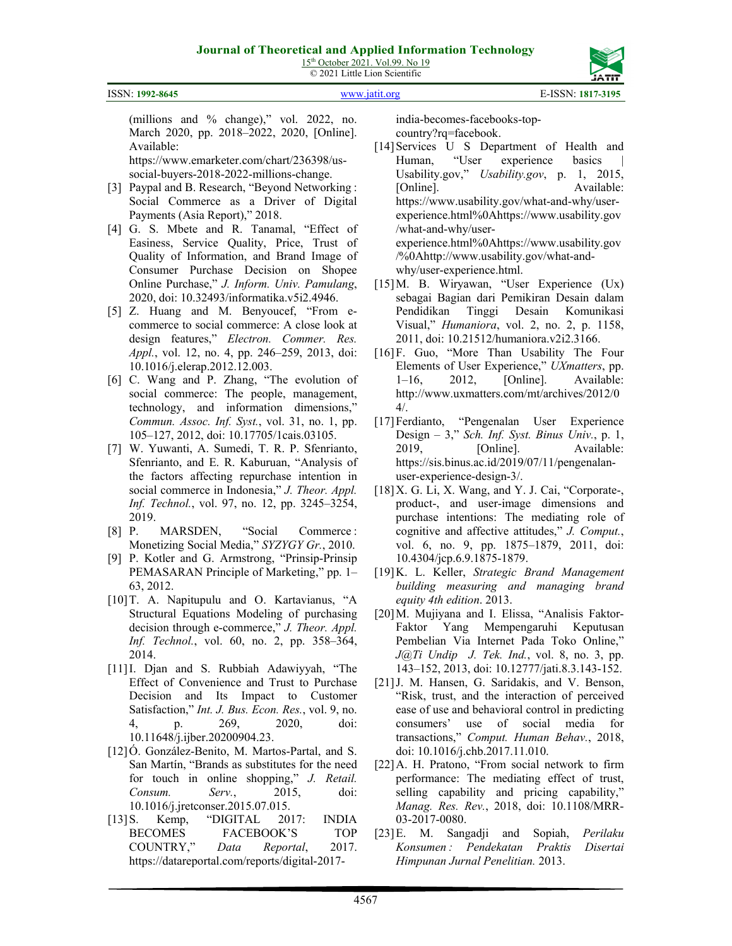15<sup>th</sup> October 2021. Vol.99. No 19 © 2021 Little Lion Scientific



| ISSN: 1992-8645 | www.jatit.org | E-ISSN: 1817-3195 |
|-----------------|---------------|-------------------|
|                 |               |                   |

(millions and % change)," vol. 2022, no. March 2020, pp. 2018–2022, 2020, [Online]. Available:

https://www.emarketer.com/chart/236398/ussocial-buyers-2018-2022-millions-change.

- [3] Paypal and B. Research, "Beyond Networking: Social Commerce as a Driver of Digital Payments (Asia Report)," 2018.
- [4] G. S. Mbete and R. Tanamal, "Effect of Easiness, Service Quality, Price, Trust of Quality of Information, and Brand Image of Consumer Purchase Decision on Shopee Online Purchase," *J. Inform. Univ. Pamulang*, 2020, doi: 10.32493/informatika.v5i2.4946.
- [5] Z. Huang and M. Benyoucef, "From ecommerce to social commerce: A close look at design features," *Electron. Commer. Res. Appl.*, vol. 12, no. 4, pp. 246–259, 2013, doi: 10.1016/j.elerap.2012.12.003.
- [6] C. Wang and P. Zhang, "The evolution of social commerce: The people, management, technology, and information dimensions," *Commun. Assoc. Inf. Syst.*, vol. 31, no. 1, pp. 105–127, 2012, doi: 10.17705/1cais.03105.
- [7] W. Yuwanti, A. Sumedi, T. R. P. Sfenrianto, Sfenrianto, and E. R. Kaburuan, "Analysis of the factors affecting repurchase intention in social commerce in Indonesia," *J. Theor. Appl. Inf. Technol.*, vol. 97, no. 12, pp. 3245–3254, 2019.
- [8] P. MARSDEN, "Social Commerce : Monetizing Social Media," *SYZYGY Gr.*, 2010.
- [9] P. Kotler and G. Armstrong, "Prinsip-Prinsip PEMASARAN Principle of Marketing," pp. 1– 63, 2012.
- [10]T. A. Napitupulu and O. Kartavianus, "A Structural Equations Modeling of purchasing decision through e-commerce," *J. Theor. Appl. Inf. Technol.*, vol. 60, no. 2, pp. 358–364, 2014.
- [11] I. Djan and S. Rubbiah Adawiyyah, "The Effect of Convenience and Trust to Purchase Decision and Its Impact to Customer Satisfaction," *Int. J. Bus. Econ. Res.*, vol. 9, no. 4, p. 269, 2020, doi: 10.11648/j.ijber.20200904.23.
- [12] O. González-Benito, M. Martos-Partal, and S. San Martín, "Brands as substitutes for the need for touch in online shopping," *J. Retail. Consum. Serv.*, 2015, doi: 10.1016/j.jretconser.2015.07.015.
- [13] S. Kemp, "DIGITAL 2017: INDIA BECOMES FACEBOOK'S TOP COUNTRY," *Data Reportal*, 2017. https://datareportal.com/reports/digital-2017-

india-becomes-facebooks-topcountry?rq=facebook.

- [14] Services U S Department of Health and Human, "User experience basics Usability.gov," *Usability.gov*, p. 1, 2015, [Online]. Available: https://www.usability.gov/what-and-why/userexperience.html%0Ahttps://www.usability.gov /what-and-why/userexperience.html%0Ahttps://www.usability.gov /%0Ahttp://www.usability.gov/what-andwhy/user-experience.html.
- [15]M. B. Wiryawan, "User Experience (Ux) sebagai Bagian dari Pemikiran Desain dalam Pendidikan Tinggi Desain Komunikasi Visual," *Humaniora*, vol. 2, no. 2, p. 1158, 2011, doi: 10.21512/humaniora.v2i2.3166.
- [16]F. Guo, "More Than Usability The Four Elements of User Experience," *UXmatters*, pp. 1–16, 2012, [Online]. Available: http://www.uxmatters.com/mt/archives/2012/0 4/.
- [17]Ferdianto, "Pengenalan User Experience Design – 3," *Sch. Inf. Syst. Binus Univ.*, p. 1, 2019, [Online]. Available: https://sis.binus.ac.id/2019/07/11/pengenalanuser-experience-design-3/.
- [18] X. G. Li, X. Wang, and Y. J. Cai, "Corporate-, product-, and user-image dimensions and purchase intentions: The mediating role of cognitive and affective attitudes," *J. Comput.*, vol. 6, no. 9, pp. 1875–1879, 2011, doi: 10.4304/jcp.6.9.1875-1879.
- [19]K. L. Keller, *Strategic Brand Management building measuring and managing brand equity 4th edition*. 2013.
- [20]M. Mujiyana and I. Elissa, "Analisis Faktor-Faktor Yang Mempengaruhi Keputusan Pembelian Via Internet Pada Toko Online," *J@Ti Undip J. Tek. Ind.*, vol. 8, no. 3, pp. 143–152, 2013, doi: 10.12777/jati.8.3.143-152.
- [21]J. M. Hansen, G. Saridakis, and V. Benson, "Risk, trust, and the interaction of perceived ease of use and behavioral control in predicting consumers' use of social media for transactions," *Comput. Human Behav.*, 2018, doi: 10.1016/j.chb.2017.11.010.
- [22]A. H. Pratono, "From social network to firm performance: The mediating effect of trust, selling capability and pricing capability," *Manag. Res. Rev.*, 2018, doi: 10.1108/MRR-03-2017-0080.
- [23]E. M. Sangadji and Sopiah, *Perilaku Konsumen : Pendekatan Praktis Disertai Himpunan Jurnal Penelitian.* 2013.